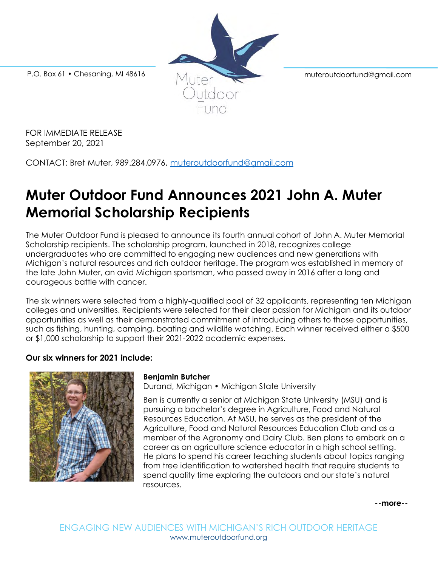P.O. Box 61 • Chesaning, MI 48616 Mutter Muteroutdoorfund@gmail.com

FOR IMMEDIATE RELEASE September 20, 2021

CONTACT: Bret Muter, 989.284.0976, [muteroutdoorfund@gmail.com](mailto:muteroutdoorfund@gmail.com)

# **Muter Outdoor Fund Announces 2021 John A. Muter Memorial Scholarship Recipients**

The Muter Outdoor Fund is pleased to announce its fourth annual cohort of John A. Muter Memorial Scholarship recipients. The scholarship program, launched in 2018, recognizes college undergraduates who are committed to engaging new audiences and new generations with Michigan's natural resources and rich outdoor heritage. The program was established in memory of the late John Muter, an avid Michigan sportsman, who passed away in 2016 after a long and courageous battle with cancer.

The six winners were selected from a highly-qualified pool of 32 applicants, representing ten Michigan colleges and universities. Recipients were selected for their clear passion for Michigan and its outdoor opportunities as well as their demonstrated commitment of introducing others to those opportunities, such as fishing, hunting, camping, boating and wildlife watching. Each winner received either a \$500 or \$1,000 scholarship to support their 2021-2022 academic expenses.

# **Our six winners for 2021 include:**



# **Benjamin Butcher**

Durand, Michigan • Michigan State University

Ben is currently a senior at Michigan State University (MSU) and is pursuing a bachelor's degree in Agriculture, Food and Natural Resources Education. At MSU, he serves as the president of the Agriculture, Food and Natural Resources Education Club and as a member of the Agronomy and Dairy Club. Ben plans to embark on a career as an agriculture science educator in a high school setting. He plans to spend his career teaching students about topics ranging from tree identification to watershed health that require students to spend quality time exploring the outdoors and our state's natural resources.

**--more--**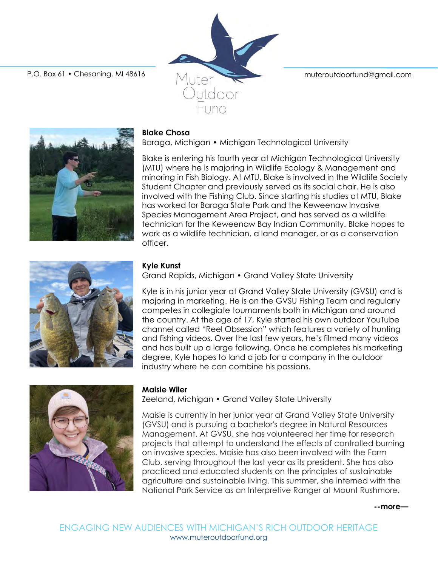P.O. Box 61 • Chesaning, MI 48616 Muter Muter muteroutdoorfund@gmail.com



#### **Blake Chosa**

Baraga, Michigan • Michigan Technological University

utdoor

Blake is entering his fourth year at Michigan Technological University (MTU) where he is majoring in Wildlife Ecology & Management and minoring in Fish Biology. At MTU, Blake is involved in the Wildlife Society Student Chapter and previously served as its social chair. He is also involved with the Fishing Club. Since starting his studies at MTU, Blake has worked for Baraga State Park and the Keweenaw Invasive Species Management Area Project, and has served as a wildlife technician for the Keweenaw Bay Indian Community. Blake hopes to work as a wildlife technician, a land manager, or as a conservation officer.



# **Kyle Kunst**

Grand Rapids, Michigan • Grand Valley State University

Kyle is in his junior year at Grand Valley State University (GVSU) and is majoring in marketing. He is on the GVSU Fishing Team and regularly competes in collegiate tournaments both in Michigan and around the country. At the age of 17, Kyle started his own outdoor YouTube channel called "Reel Obsession" which features a variety of hunting and fishing videos. Over the last few years, he's filmed many videos and has built up a large following. Once he completes his marketing degree, Kyle hopes to land a job for a company in the outdoor industry where he can combine his passions.



#### **Maisie Wiler**

Zeeland, Michigan • Grand Valley State University

Maisie is currently in her junior year at Grand Valley State University (GVSU) and is pursuing a bachelor's degree in Natural Resources Management. At GVSU, she has volunteered her time for research projects that attempt to understand the effects of controlled burning on invasive species. Maisie has also been involved with the Farm Club, serving throughout the last year as its president. She has also practiced and educated students on the principles of sustainable agriculture and sustainable living. This summer, she interned with the National Park Service as an Interpretive Ranger at Mount Rushmore.